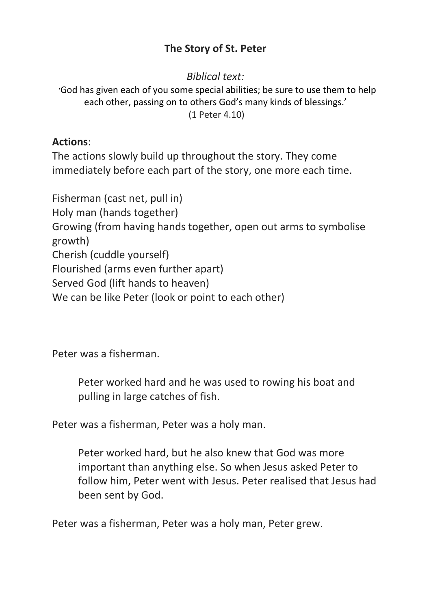## **The Story of St. Peter**

*Biblical text:*

'God has given each of you some special abilities; be sure to use them to help each other, passing on to others God's many kinds of blessings.' (1 Peter 4.10)

## **Actions**:

The actions slowly build up throughout the story. They come immediately before each part of the story, one more each time.

Fisherman (cast net, pull in) Holy man (hands together) Growing (from having hands together, open out arms to symbolise growth) Cherish (cuddle yourself) Flourished (arms even further apart) Served God (lift hands to heaven) We can be like Peter (look or point to each other)

Peter was a fisherman.

Peter worked hard and he was used to rowing his boat and pulling in large catches of fish.

Peter was a fisherman, Peter was a holy man.

Peter worked hard, but he also knew that God was more important than anything else. So when Jesus asked Peter to follow him, Peter went with Jesus. Peter realised that Jesus had been sent by God.

Peter was a fisherman, Peter was a holy man, Peter grew.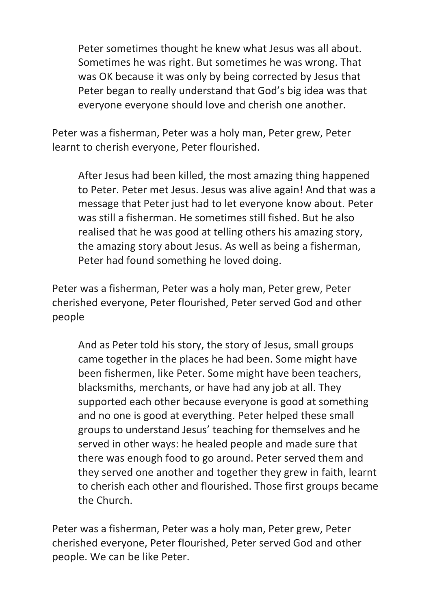Peter sometimes thought he knew what Jesus was all about. Sometimes he was right. But sometimes he was wrong. That was OK because it was only by being corrected by Jesus that Peter began to really understand that God's big idea was that everyone everyone should love and cherish one another.

Peter was a fisherman, Peter was a holy man, Peter grew, Peter learnt to cherish everyone, Peter flourished.

After Jesus had been killed, the most amazing thing happened to Peter. Peter met Jesus. Jesus was alive again! And that was a message that Peter just had to let everyone know about. Peter was still a fisherman. He sometimes still fished. But he also realised that he was good at telling others his amazing story, the amazing story about Jesus. As well as being a fisherman, Peter had found something he loved doing.

Peter was a fisherman, Peter was a holy man, Peter grew, Peter cherished everyone, Peter flourished, Peter served God and other people

And as Peter told his story, the story of Jesus, small groups came together in the places he had been. Some might have been fishermen, like Peter. Some might have been teachers, blacksmiths, merchants, or have had any job at all. They supported each other because everyone is good at something and no one is good at everything. Peter helped these small groups to understand Jesus' teaching for themselves and he served in other ways: he healed people and made sure that there was enough food to go around. Peter served them and they served one another and together they grew in faith, learnt to cherish each other and flourished. Those first groups became the Church.

Peter was a fisherman, Peter was a holy man, Peter grew, Peter cherished everyone, Peter flourished, Peter served God and other people. We can be like Peter.